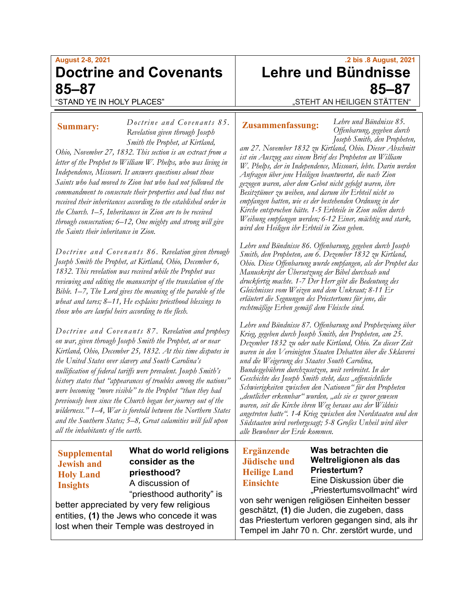# **August 2-8, 2021 Doctrine and Covenants 85–87**

# "STAND YE IN HOLY PLACES"

# *Doctrine and Covenants 85 .*

*Revelation given through Joseph* 

## **Summary:**

*Smith the Prophet, at Kirtland, Ohio, November 27, 1832. This section is an extract from a letter of the Prophet to William W. Phelps, who was living in Independence, Missouri. It answers questions about those Saints who had moved to Zion but who had not followed the commandment to consecrate their properties and had thus not received their inheritances according to the established order in the Church. 1–5, Inheritances in Zion are to be received through consecration; 6–12, One mighty and strong will give the Saints their inheritance in Zion.*

*Doctrine and Covenants 86. Revelation given through Joseph Smith the Prophet, at Kirtland, Ohio, December 6, 1832. This revelation was received while the Prophet was reviewing and editing the manuscript of the translation of the Bible. 1–7, The Lord gives the meaning of the parable of the wheat and tares; 8–11, He explains priesthood blessings to those who are lawful heirs according to the flesh.*

*Doctrine and Covenants 87. Revelation and prophecy on war, given through Joseph Smith the Prophet, at or near Kirtland, Ohio, December 25, 1832. At this time disputes in the United States over slavery and South Carolina's nullification of federal tariffs were prevalent. Joseph Smith's history states that "appearances of troubles among the nations" were becoming "more visible" to the Prophet "than they had previously been since the Church began her journey out of the wilderness." 1–4, War is foretold between the Northern States and the Southern States; 5–8, Great calamities will fall upon all the inhabitants of the earth.*

# **Supplemental Jewish and Holy Land Insights**

**What do world religions consider as the priesthood?** A discussion of "priesthood authority" is

better appreciated by very few religious entities, **(1)** the Jews who concede it was lost when their Temple was destroyed in

# **.2 bis .8 August, 2021 Lehre und Bündnisse 85–87**

"STEHT AN HEILIGEN STÄTTEN"

# **Zusammenfassung:**

*Lehre und Bündnisse 85. Offenbarung, gegeben durch Joseph Smith, den Propheten,* 

*am 27. November 1832 zu Kirtland, Ohio. Dieser Abschnitt ist ein Auszug aus einem Brief des Propheten an William W. Phelps, der in Independence, Missouri, lebte. Darin werden Anfragen über jene Heiligen beantwortet, die nach Zion gezogen waren, aber dem Gebot nicht gefolgt waren, ihre Besitztümer zu weihen, und darum ihr Erbteil nicht so empfangen hatten, wie es der bestehenden Ordnung in der Kirche entsprochen hätte. 1-5 Erbteile in Zion sollen durch Weihung empfangen werden; 6-12 Einer, mächtig und stark, wird den Heiligen ihr Erbteil in Zion geben.*

*Lehre und Bündnisse 86. Offenbarung, gegeben durch Joseph Smith, den Propheten, am 6. Dezember 1832 zu Kirtland, Ohio. Diese Offenbarung wurde empfangen, als der Prophet das Manuskript der Übersetzung der Bibel durchsah und druckfertig machte. 1-7 Der Herr gibt die Bedeutung des Gleichnisses vom Weizen und dem Unkraut; 8-11 Er erläutert die Segnungen des Priestertums für jene, die rechtmäßige Erben gemäß dem Fleische sind.*

*Lehre und Bündnisse 87. Offenbarung und Prophezeiung über Krieg, gegeben durch Joseph Smith, den Propheten, am 25. Dezember 1832 zu oder nahe Kirtland, Ohio. Zu dieser Zeit waren in den Vereinigten Staaten Debatten über die Sklaverei und die Weigerung des Staates South Carolina, Bundesgebühren durchzusetzen, weit verbreitet. In der Geschichte des Joseph Smith steht, dass "offensichtliche Schwierigkeiten zwischen den Nationen" für den Propheten "deutlicher erkennbar" wurden, "als sie es zuvor gewesen waren, seit die Kirche ihren Weg heraus aus der Wildnis angetreten hatte". 1-4 Krieg zwischen den Nordstaaten und den Südstaaten wird vorhergesagt; 5-8 Großes Unheil wird über alle Bewohner der Erde kommen.*

# **Ergänzende Jüdische und Heilige Land Einsichte**

**Was betrachten die Weltreligionen als das Priestertum?** Eine Diskussion über die

"Priestertumsvollmacht" wird

von sehr wenigen religiösen Einheiten besser geschätzt, **(1)** die Juden, die zugeben, dass das Priestertum verloren gegangen sind, als ihr Tempel im Jahr 70 n. Chr. zerstört wurde, und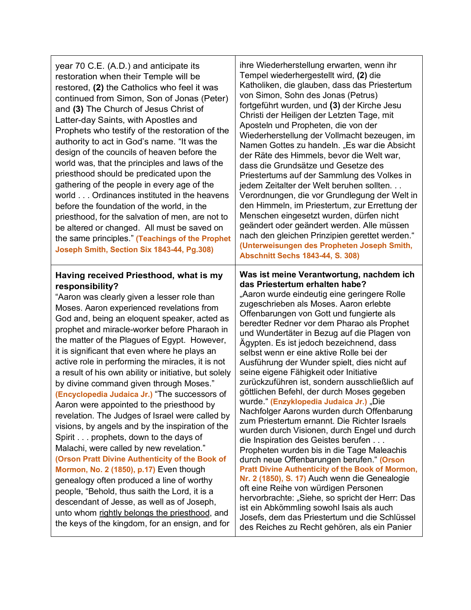year 70 C.E. (A.D.) and anticipate its restoration when their Temple will be restored, **(2)** the Catholics who feel it was continued from Simon, Son of Jonas (Peter) and **(3)** The Church of Jesus Christ of Latter-day Saints, with Apostles and Prophets who testify of the restoration of the authority to act in God's name. "It was the design of the councils of heaven before the world was, that the principles and laws of the priesthood should be predicated upon the gathering of the people in every age of the world . . . Ordinances instituted in the heavens before the foundation of the world, in the priesthood, for the salvation of men, are not to be altered or changed. All must be saved on the same principles." **(Teachings of the Prophet Joseph Smith, Section Six 1843-44, Pg.308)**

### **Having received Priesthood, what is my responsibility?**

"Aaron was clearly given a lesser role than Moses. Aaron experienced revelations from God and, being an eloquent speaker, acted as prophet and miracle-worker before Pharaoh in the matter of the Plagues of Egypt. However, it is significant that even where he plays an active role in performing the miracles, it is not a result of his own ability or initiative, but solely by divine command given through Moses." **(Encyclopedia Judaica Jr.)** "The successors of Aaron were appointed to the priesthood by revelation. The Judges of Israel were called by visions, by angels and by the inspiration of the Spirit . . . prophets, down to the days of Malachi, were called by new revelation." **(Orson Pratt Divine Authenticity of the Book of Mormon, No. 2 (1850), p.17)** Even though genealogy often produced a line of worthy people, "Behold, thus saith the Lord, it is a descendant of Jesse, as well as of Joseph, unto whom rightly belongs the priesthood, and the keys of the kingdom, for an ensign, and for

ihre Wiederherstellung erwarten, wenn ihr Tempel wiederhergestellt wird, **(2)** die Katholiken, die glauben, dass das Priestertum von Simon, Sohn des Jonas (Petrus) fortgeführt wurden, und **(3)** der Kirche Jesu Christi der Heiligen der Letzten Tage, mit Aposteln und Propheten, die von der Wiederherstellung der Vollmacht bezeugen, im Namen Gottes zu handeln. "Es war die Absicht der Räte des Himmels, bevor die Welt war, dass die Grundsätze und Gesetze des Priestertums auf der Sammlung des Volkes in jedem Zeitalter der Welt beruhen sollten. . . Verordnungen, die vor Grundlegung der Welt in den Himmeln, im Priestertum, zur Errettung der Menschen eingesetzt wurden, dürfen nicht geändert oder geändert werden. Alle müssen nach den gleichen Prinzipien gerettet werden." **(Unterweisungen des Propheten Joseph Smith, Abschnitt Sechs 1843-44, S. 308)**

#### **Was ist meine Verantwortung, nachdem ich das Priestertum erhalten habe?**

"Aaron wurde eindeutig eine geringere Rolle zugeschrieben als Moses. Aaron erlebte Offenbarungen von Gott und fungierte als beredter Redner vor dem Pharao als Prophet und Wundertäter in Bezug auf die Plagen von Ägypten. Es ist jedoch bezeichnend, dass selbst wenn er eine aktive Rolle bei der Ausführung der Wunder spielt, dies nicht auf seine eigene Fähigkeit oder Initiative zurückzuführen ist, sondern ausschließlich auf göttlichen Befehl, der durch Moses gegeben wurde." **(Enzyklopedia Judaica Jr.)** "Die Nachfolger Aarons wurden durch Offenbarung zum Priestertum ernannt. Die Richter Israels wurden durch Visionen, durch Engel und durch die Inspiration des Geistes berufen . . . Propheten wurden bis in die Tage Maleachis durch neue Offenbarungen berufen." **(Orson Pratt Divine Authenticity of the Book of Mormon, Nr. 2 (1850), S. 17)** Auch wenn die Genealogie oft eine Reihe von würdigen Personen hervorbrachte: "Siehe, so spricht der Herr: Das ist ein Abkömmling sowohl Isais als auch Josefs, dem das Priestertum und die Schlüssel des Reiches zu Recht gehören, als ein Panier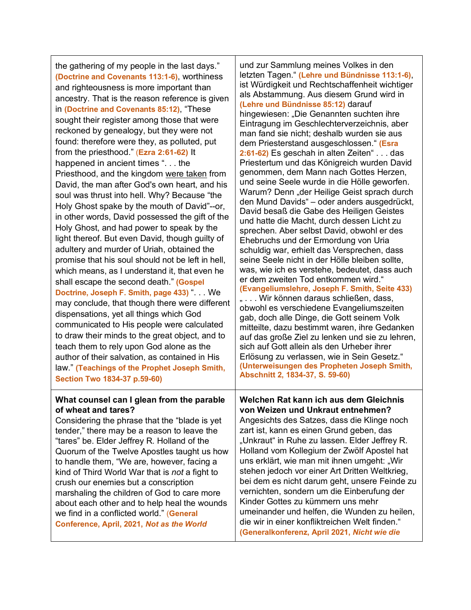the gathering of my people in the last days." **(Doctrine and Covenants 113:1-6)**, worthiness and righteousness is more important than ancestry. That is the reason reference is given in **(Doctrine and Covenants 85:12)**, "These sought their register among those that were reckoned by genealogy, but they were not found: therefore were they, as polluted, put from the priesthood." (**Ezra 2:61-62)** It happened in ancient times ". . . the Priesthood, and the kingdom were taken from David, the man after God's own heart, and his soul was thrust into hell. Why? Because "the Holy Ghost spake by the mouth of David"--or, in other words, David possessed the gift of the Holy Ghost, and had power to speak by the light thereof. But even David, though guilty of adultery and murder of Uriah, obtained the promise that his soul should not be left in hell, which means, as I understand it, that even he shall escape the second death." **(Gospel Doctrine, Joseph F. Smith, page 433) "... We** may conclude, that though there were different dispensations, yet all things which God communicated to His people were calculated to draw their minds to the great object, and to teach them to rely upon God alone as the author of their salvation, as contained in His law." **(Teachings of the Prophet Joseph Smith, Section Two 1834-37 p.59-60)**

#### **What counsel can I glean from the parable of wheat and tares?**

Considering the phrase that the "blade is yet tender," there may be a reason to leave the "tares" be. Elder Jeffrey R. Holland of the Quorum of the Twelve Apostles taught us how to handle them, "We are, however, facing a kind of Third World War that is *not* a fight to crush our enemies but a conscription marshaling the children of God to care more about each other and to help heal the wounds we find in a conflicted world." (**General Conference, April, 2021,** *Not as the World* 

und zur Sammlung meines Volkes in den letzten Tagen." **(Lehre und Bündnisse 113:1-6)**, ist Würdigkeit und Rechtschaffenheit wichtiger als Abstammung. Aus diesem Grund wird in **(Lehre und Bündnisse 85:12)** darauf hingewiesen: "Die Genannten suchten ihre Eintragung im Geschlechterverzeichnis, aber man fand sie nicht; deshalb wurden sie aus dem Priesterstand ausgeschlossen." **(Esra 2:61-62)** Es geschah in alten Zeiten" . . . das Priestertum und das Königreich wurden David genommen, dem Mann nach Gottes Herzen, und seine Seele wurde in die Hölle geworfen. Warum? Denn "der Heilige Geist sprach durch den Mund Davids" – oder anders ausgedrückt, David besaß die Gabe des Heiligen Geistes und hatte die Macht, durch dessen Licht zu sprechen. Aber selbst David, obwohl er des Ehebruchs und der Ermordung von Uria schuldig war, erhielt das Versprechen, dass seine Seele nicht in der Hölle bleiben sollte, was, wie ich es verstehe, bedeutet, dass auch er dem zweiten Tod entkommen wird." **(Evangeliumslehre, Joseph F. Smith, Seite 433)** " . . . Wir können daraus schließen, dass, obwohl es verschiedene Evangeliumszeiten gab, doch alle Dinge, die Gott seinem Volk mitteilte, dazu bestimmt waren, ihre Gedanken auf das große Ziel zu lenken und sie zu lehren, sich auf Gott allein als den Urheber ihrer Erlösung zu verlassen, wie in Sein Gesetz." **(Unterweisungen des Propheten Joseph Smith, Abschnitt 2, 1834-37, S. 59-60)**

**Welchen Rat kann ich aus dem Gleichnis von Weizen und Unkraut entnehmen?** Angesichts des Satzes, dass die Klinge noch zart ist, kann es einen Grund geben, das "Unkraut" in Ruhe zu lassen. Elder Jeffrey R. Holland vom Kollegium der Zwölf Apostel hat uns erklärt, wie man mit ihnen umgeht: "Wir stehen jedoch vor einer Art Dritten Weltkrieg, bei dem es nicht darum geht, unsere Feinde zu vernichten, sondern um die Einberufung der Kinder Gottes zu kümmern uns mehr umeinander und helfen, die Wunden zu heilen, die wir in einer konfliktreichen Welt finden." **(Generalkonferenz, April 2021,** *Nicht wie die*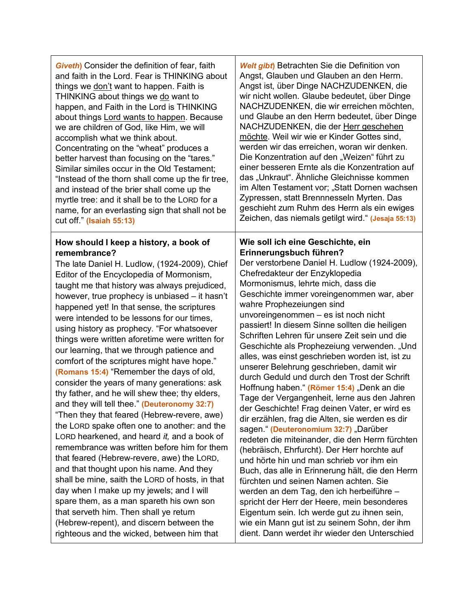| <b>Giveth)</b> Consider the definition of fear, faith                                                                                                                                                                                                                                                                                                                                                                                                                                                                                                                                                                                                                                                                                                                                                                                                                                                                                                                                                                                                                                                                                                                                                                                                                 | Welt gibt) Betrachten Sie die Definition von                                                                                                                                                                                                                                                                                                                                                                                                                                                                                                                                                                                                                                                                                                                                                                                                                                                                                                                                                                                                                                                                                                                                                                                                                                               |
|-----------------------------------------------------------------------------------------------------------------------------------------------------------------------------------------------------------------------------------------------------------------------------------------------------------------------------------------------------------------------------------------------------------------------------------------------------------------------------------------------------------------------------------------------------------------------------------------------------------------------------------------------------------------------------------------------------------------------------------------------------------------------------------------------------------------------------------------------------------------------------------------------------------------------------------------------------------------------------------------------------------------------------------------------------------------------------------------------------------------------------------------------------------------------------------------------------------------------------------------------------------------------|--------------------------------------------------------------------------------------------------------------------------------------------------------------------------------------------------------------------------------------------------------------------------------------------------------------------------------------------------------------------------------------------------------------------------------------------------------------------------------------------------------------------------------------------------------------------------------------------------------------------------------------------------------------------------------------------------------------------------------------------------------------------------------------------------------------------------------------------------------------------------------------------------------------------------------------------------------------------------------------------------------------------------------------------------------------------------------------------------------------------------------------------------------------------------------------------------------------------------------------------------------------------------------------------|
| and faith in the Lord. Fear is THINKING about                                                                                                                                                                                                                                                                                                                                                                                                                                                                                                                                                                                                                                                                                                                                                                                                                                                                                                                                                                                                                                                                                                                                                                                                                         | Angst, Glauben und Glauben an den Herrn.                                                                                                                                                                                                                                                                                                                                                                                                                                                                                                                                                                                                                                                                                                                                                                                                                                                                                                                                                                                                                                                                                                                                                                                                                                                   |
| things we don't want to happen. Faith is                                                                                                                                                                                                                                                                                                                                                                                                                                                                                                                                                                                                                                                                                                                                                                                                                                                                                                                                                                                                                                                                                                                                                                                                                              | Angst ist, über Dinge NACHZUDENKEN, die                                                                                                                                                                                                                                                                                                                                                                                                                                                                                                                                                                                                                                                                                                                                                                                                                                                                                                                                                                                                                                                                                                                                                                                                                                                    |
| THINKING about things we do want to                                                                                                                                                                                                                                                                                                                                                                                                                                                                                                                                                                                                                                                                                                                                                                                                                                                                                                                                                                                                                                                                                                                                                                                                                                   | wir nicht wollen. Glaube bedeutet, über Dinge                                                                                                                                                                                                                                                                                                                                                                                                                                                                                                                                                                                                                                                                                                                                                                                                                                                                                                                                                                                                                                                                                                                                                                                                                                              |
| happen, and Faith in the Lord is THINKING                                                                                                                                                                                                                                                                                                                                                                                                                                                                                                                                                                                                                                                                                                                                                                                                                                                                                                                                                                                                                                                                                                                                                                                                                             | NACHZUDENKEN, die wir erreichen möchten,                                                                                                                                                                                                                                                                                                                                                                                                                                                                                                                                                                                                                                                                                                                                                                                                                                                                                                                                                                                                                                                                                                                                                                                                                                                   |
| about things Lord wants to happen. Because                                                                                                                                                                                                                                                                                                                                                                                                                                                                                                                                                                                                                                                                                                                                                                                                                                                                                                                                                                                                                                                                                                                                                                                                                            | und Glaube an den Herrn bedeutet, über Dinge                                                                                                                                                                                                                                                                                                                                                                                                                                                                                                                                                                                                                                                                                                                                                                                                                                                                                                                                                                                                                                                                                                                                                                                                                                               |
| we are children of God, like Him, we will                                                                                                                                                                                                                                                                                                                                                                                                                                                                                                                                                                                                                                                                                                                                                                                                                                                                                                                                                                                                                                                                                                                                                                                                                             | NACHZUDENKEN, die der Herr geschehen                                                                                                                                                                                                                                                                                                                                                                                                                                                                                                                                                                                                                                                                                                                                                                                                                                                                                                                                                                                                                                                                                                                                                                                                                                                       |
| accomplish what we think about.                                                                                                                                                                                                                                                                                                                                                                                                                                                                                                                                                                                                                                                                                                                                                                                                                                                                                                                                                                                                                                                                                                                                                                                                                                       | möchte. Weil wir wie er Kinder Gottes sind,                                                                                                                                                                                                                                                                                                                                                                                                                                                                                                                                                                                                                                                                                                                                                                                                                                                                                                                                                                                                                                                                                                                                                                                                                                                |
| Concentrating on the "wheat" produces a                                                                                                                                                                                                                                                                                                                                                                                                                                                                                                                                                                                                                                                                                                                                                                                                                                                                                                                                                                                                                                                                                                                                                                                                                               | werden wir das erreichen, woran wir denken.                                                                                                                                                                                                                                                                                                                                                                                                                                                                                                                                                                                                                                                                                                                                                                                                                                                                                                                                                                                                                                                                                                                                                                                                                                                |
| better harvest than focusing on the "tares."                                                                                                                                                                                                                                                                                                                                                                                                                                                                                                                                                                                                                                                                                                                                                                                                                                                                                                                                                                                                                                                                                                                                                                                                                          | Die Konzentration auf den "Weizen" führt zu                                                                                                                                                                                                                                                                                                                                                                                                                                                                                                                                                                                                                                                                                                                                                                                                                                                                                                                                                                                                                                                                                                                                                                                                                                                |
| Similar similes occur in the Old Testament;                                                                                                                                                                                                                                                                                                                                                                                                                                                                                                                                                                                                                                                                                                                                                                                                                                                                                                                                                                                                                                                                                                                                                                                                                           | einer besseren Ernte als die Konzentration auf                                                                                                                                                                                                                                                                                                                                                                                                                                                                                                                                                                                                                                                                                                                                                                                                                                                                                                                                                                                                                                                                                                                                                                                                                                             |
| "Instead of the thorn shall come up the fir tree,                                                                                                                                                                                                                                                                                                                                                                                                                                                                                                                                                                                                                                                                                                                                                                                                                                                                                                                                                                                                                                                                                                                                                                                                                     | das "Unkraut". Ähnliche Gleichnisse kommen                                                                                                                                                                                                                                                                                                                                                                                                                                                                                                                                                                                                                                                                                                                                                                                                                                                                                                                                                                                                                                                                                                                                                                                                                                                 |
| and instead of the brier shall come up the                                                                                                                                                                                                                                                                                                                                                                                                                                                                                                                                                                                                                                                                                                                                                                                                                                                                                                                                                                                                                                                                                                                                                                                                                            | im Alten Testament vor; "Statt Dornen wachsen                                                                                                                                                                                                                                                                                                                                                                                                                                                                                                                                                                                                                                                                                                                                                                                                                                                                                                                                                                                                                                                                                                                                                                                                                                              |
| myrtle tree: and it shall be to the LORD for a                                                                                                                                                                                                                                                                                                                                                                                                                                                                                                                                                                                                                                                                                                                                                                                                                                                                                                                                                                                                                                                                                                                                                                                                                        | Zypressen, statt Brennnesseln Myrten. Das                                                                                                                                                                                                                                                                                                                                                                                                                                                                                                                                                                                                                                                                                                                                                                                                                                                                                                                                                                                                                                                                                                                                                                                                                                                  |
| name, for an everlasting sign that shall not be                                                                                                                                                                                                                                                                                                                                                                                                                                                                                                                                                                                                                                                                                                                                                                                                                                                                                                                                                                                                                                                                                                                                                                                                                       | geschieht zum Ruhm des Herrn als ein ewiges                                                                                                                                                                                                                                                                                                                                                                                                                                                                                                                                                                                                                                                                                                                                                                                                                                                                                                                                                                                                                                                                                                                                                                                                                                                |
| cut off." (Isaiah 55:13)                                                                                                                                                                                                                                                                                                                                                                                                                                                                                                                                                                                                                                                                                                                                                                                                                                                                                                                                                                                                                                                                                                                                                                                                                                              | Zeichen, das niemals getilgt wird." (Jesaja 55:13)                                                                                                                                                                                                                                                                                                                                                                                                                                                                                                                                                                                                                                                                                                                                                                                                                                                                                                                                                                                                                                                                                                                                                                                                                                         |
| How should I keep a history, a book of<br>remembrance?<br>The late Daniel H. Ludlow, (1924-2009), Chief<br>Editor of the Encyclopedia of Mormonism,<br>taught me that history was always prejudiced,<br>however, true prophecy is unbiased - it hasn't<br>happened yet! In that sense, the scriptures<br>were intended to be lessons for our times,<br>using history as prophecy. "For whatsoever<br>things were written aforetime were written for<br>our learning, that we through patience and<br>comfort of the scriptures might have hope."<br>(Romans 15:4) "Remember the days of old,<br>consider the years of many generations: ask<br>thy father, and he will shew thee; thy elders,<br>and they will tell thee." (Deuteronomy 32:7)<br>"Then they that feared (Hebrew-revere, awe)<br>the LORD spake often one to another: and the<br>LORD hearkened, and heard it, and a book of<br>remembrance was written before him for them<br>that feared (Hebrew-revere, awe) the LORD,<br>and that thought upon his name. And they<br>shall be mine, saith the LORD of hosts, in that<br>day when I make up my jewels; and I will<br>spare them, as a man spareth his own son<br>that serveth him. Then shall ye return<br>(Hebrew-repent), and discern between the | Wie soll ich eine Geschichte, ein<br>Erinnerungsbuch führen?<br>Der verstorbene Daniel H. Ludlow (1924-2009),<br>Chefredakteur der Enzyklopedia<br>Mormonismus, lehrte mich, dass die<br>Geschichte immer voreingenommen war, aber<br>wahre Prophezeiungen sind<br>unvoreingenommen - es ist noch nicht<br>passiert! In diesem Sinne sollten die heiligen<br>Schriften Lehren für unsere Zeit sein und die<br>Geschichte als Prophezeiung verwenden. "Und<br>alles, was einst geschrieben worden ist, ist zu<br>unserer Belehrung geschrieben, damit wir<br>durch Geduld und durch den Trost der Schrift<br>Hoffnung haben." (Römer 15:4) "Denk an die<br>Tage der Vergangenheit, lerne aus den Jahren<br>der Geschichte! Frag deinen Vater, er wird es<br>dir erzählen, frag die Alten, sie werden es dir<br>sagen " (Deuteronomium 32:7) "Darüber<br>redeten die miteinander, die den Herrn fürchten<br>(hebräisch, Ehrfurcht). Der Herr horchte auf<br>und hörte hin und man schrieb vor ihm ein<br>Buch, das alle in Erinnerung hält, die den Herrn<br>fürchten und seinen Namen achten. Sie<br>werden an dem Tag, den ich herbeiführe -<br>spricht der Herr der Heere, mein besonderes<br>Eigentum sein. Ich werde gut zu ihnen sein,<br>wie ein Mann gut ist zu seinem Sohn, der ihm |